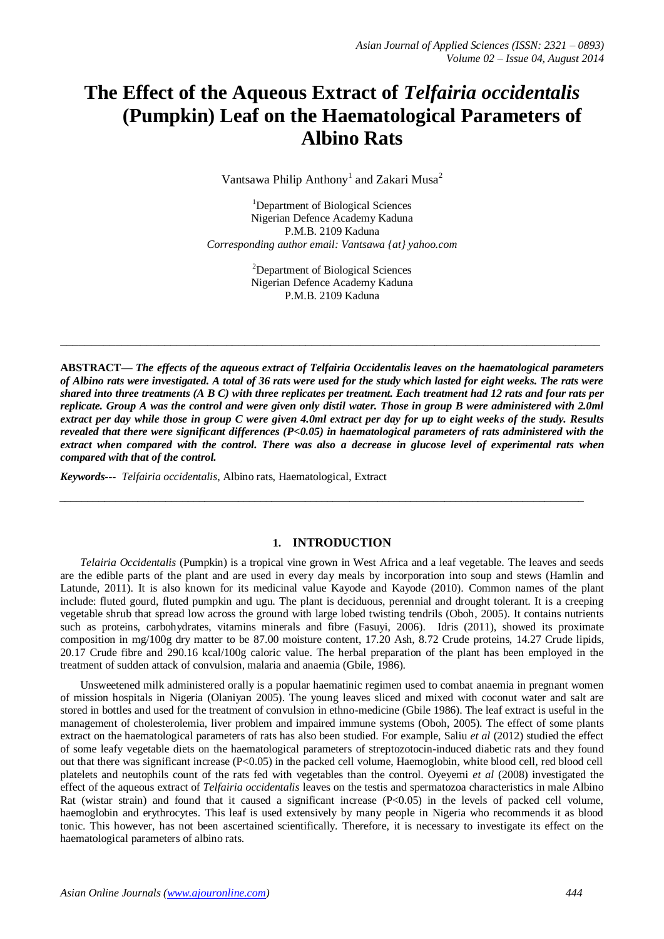# **The Effect of the Aqueous Extract of** *Telfairia occidentalis*  **(Pumpkin) Leaf on the Haematological Parameters of Albino Rats**

Vantsawa Philip Anthony<sup>1</sup> and Zakari Musa<sup>2</sup>

<sup>1</sup>Department of Biological Sciences Nigerian Defence Academy Kaduna P.M.B. 2109 Kaduna *Corresponding author email: Vantsawa {at} yahoo.com*

> <sup>2</sup>Department of Biological Sciences Nigerian Defence Academy Kaduna P.M.B. 2109 Kaduna

**\_\_\_\_\_\_\_\_\_\_\_\_\_\_\_\_\_\_\_\_\_\_\_\_\_\_\_\_\_\_\_\_\_\_\_\_\_\_\_\_\_\_\_\_\_\_\_\_\_\_\_\_\_\_\_\_\_\_\_\_\_\_\_\_\_\_\_\_\_\_\_\_\_\_\_\_\_\_\_\_\_\_\_\_\_\_\_\_**

**ABSTRACT—** *The effects of the aqueous extract of Telfairia Occidentalis leaves on the haematological parameters of Albino rats were investigated. A total of 36 rats were used for the study which lasted for eight weeks. The rats were shared into three treatments (A B C) with three replicates per treatment. Each treatment had 12 rats and four rats per replicate. Group A was the control and were given only distil water. Those in group B were administered with 2.0ml extract per day while those in group C were given 4.0ml extract per day for up to eight weeks of the study. Results revealed that there were significant differences (P<0.05) in haematological parameters of rats administered with the extract when compared with the control. There was also a decrease in glucose level of experimental rats when compared with that of the control.*

*Keywords--- Telfairia occidentalis*, Albino rats, Haematological, Extract

#### **1. INTRODUCTION**

*\_\_\_\_\_\_\_\_\_\_\_\_\_\_\_\_\_\_\_\_\_\_\_\_\_\_\_\_\_\_\_\_\_\_\_\_\_\_\_\_\_\_\_\_\_\_\_\_\_\_\_\_\_\_\_\_\_\_\_\_\_\_\_\_\_\_\_\_\_\_\_\_\_\_\_\_\_\_\_\_\_\_\_\_\_\_\_\_\_\_\_\_\_\_*

*Telairia Occidentalis* (Pumpkin) is a tropical vine grown in West Africa and a leaf vegetable. The leaves and seeds are the edible parts of the plant and are used in every day meals by incorporation into soup and stews (Hamlin and Latunde, 2011). It is also known for its medicinal value Kayode and Kayode (2010). Common names of the plant include: fluted gourd, fluted pumpkin and ugu. The plant is deciduous, perennial and drought tolerant. It is a creeping vegetable shrub that spread low across the ground with large lobed twisting tendrils (Oboh, 2005). It contains nutrients such as proteins, carbohydrates, vitamins minerals and fibre (Fasuyi, 2006). Idris (2011), showed its proximate composition in mg/100g dry matter to be 87.00 moisture content, 17.20 Ash, 8.72 Crude proteins, 14.27 Crude lipids, 20.17 Crude fibre and 290.16 kcal/100g caloric value. The herbal preparation of the plant has been employed in the treatment of sudden attack of convulsion, malaria and anaemia (Gbile, 1986).

Unsweetened milk administered orally is a popular haematinic regimen used to combat anaemia in pregnant women of mission hospitals in Nigeria (Olaniyan 2005). The young leaves sliced and mixed with coconut water and salt are stored in bottles and used for the treatment of convulsion in ethno-medicine (Gbile 1986). The leaf extract is useful in the management of cholesterolemia, liver problem and impaired immune systems (Oboh, 2005). The effect of some plants extract on the haematological parameters of rats has also been studied. For example, Saliu *et al* (2012) studied the effect of some leafy vegetable diets on the haematological parameters of streptozotocin-induced diabetic rats and they found out that there was significant increase (P<0.05) in the packed cell volume, Haemoglobin, white blood cell, red blood cell platelets and neutophils count of the rats fed with vegetables than the control. Oyeyemi *et al* (2008) investigated the effect of the aqueous extract of *Telfairia occidentalis* leaves on the testis and spermatozoa characteristics in male Albino Rat (wistar strain) and found that it caused a significant increase  $(P< 0.05)$  in the levels of packed cell volume, haemoglobin and erythrocytes. This leaf is used extensively by many people in Nigeria who recommends it as blood tonic. This however, has not been ascertained scientifically. Therefore, it is necessary to investigate its effect on the haematological parameters of albino rats.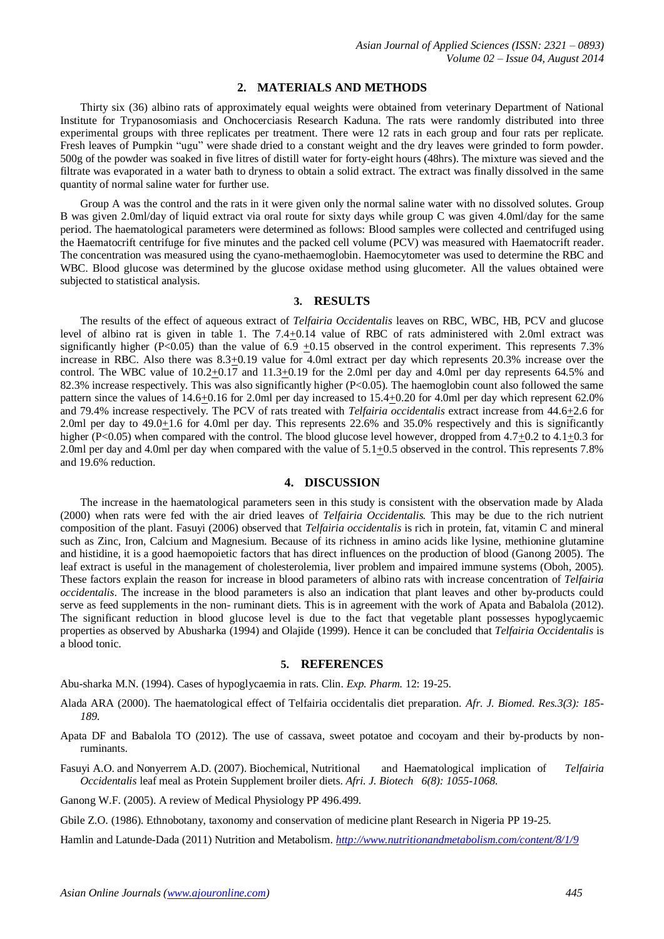#### **2. MATERIALS AND METHODS**

Thirty six (36) albino rats of approximately equal weights were obtained from veterinary Department of National Institute for Trypanosomiasis and Onchocerciasis Research Kaduna. The rats were randomly distributed into three experimental groups with three replicates per treatment. There were 12 rats in each group and four rats per replicate. Fresh leaves of Pumpkin "ugu" were shade dried to a constant weight and the dry leaves were grinded to form powder. 500g of the powder was soaked in five litres of distill water for forty-eight hours (48hrs). The mixture was sieved and the filtrate was evaporated in a water bath to dryness to obtain a solid extract. The extract was finally dissolved in the same quantity of normal saline water for further use.

Group A was the control and the rats in it were given only the normal saline water with no dissolved solutes. Group B was given 2.0ml/day of liquid extract via oral route for sixty days while group C was given 4.0ml/day for the same period. The haematological parameters were determined as follows: Blood samples were collected and centrifuged using the Haematocrift centrifuge for five minutes and the packed cell volume (PCV) was measured with Haematocrift reader. The concentration was measured using the cyano-methaemoglobin. Haemocytometer was used to determine the RBC and WBC. Blood glucose was determined by the glucose oxidase method using glucometer. All the values obtained were subjected to statistical analysis.

# **3. RESULTS**

The results of the effect of aqueous extract of *Telfairia Occidentalis* leaves on RBC, WBC, HB, PCV and glucose level of albino rat is given in table 1. The  $7.4 \pm 0.14$  value of RBC of rats administered with 2.0ml extract was significantly higher (P<0.05) than the value of  $6.9 +0.15$  observed in the control experiment. This represents 7.3% increase in RBC. Also there was 8.3+0.19 value for 4.0ml extract per day which represents 20.3% increase over the control. The WBC value of 10.2+0.17 and 11.3+0.19 for the 2.0ml per day and 4.0ml per day represents 64.5% and 82.3% increase respectively. This was also significantly higher  $(P<0.05)$ . The haemoglobin count also followed the same pattern since the values of 14.6+0.16 for 2.0ml per day increased to 15.4+0.20 for 4.0ml per day which represent 62.0% and 79.4% increase respectively. The PCV of rats treated with *Telfairia occidentalis* extract increase from 44.6+2.6 for 2.0ml per day to 49.0+1.6 for 4.0ml per day. This represents 22.6% and 35.0% respectively and this is significantly higher (P<0.05) when compared with the control. The blood glucose level however, dropped from 4.7+0.2 to 4.1+0.3 for 2.0ml per day and 4.0ml per day when compared with the value of 5.1+0.5 observed in the control. This represents 7.8% and 19.6% reduction.

## **4. DISCUSSION**

The increase in the haematological parameters seen in this study is consistent with the observation made by Alada (2000) when rats were fed with the air dried leaves of *Telfairia Occidentalis.* This may be due to the rich nutrient composition of the plant. Fasuyi (2006) observed that *Telfairia occidentalis* is rich in protein, fat, vitamin C and mineral such as Zinc, Iron, Calcium and Magnesium. Because of its richness in amino acids like lysine, methionine glutamine and histidine, it is a good haemopoietic factors that has direct influences on the production of blood (Ganong 2005). The leaf extract is useful in the management of cholesterolemia, liver problem and impaired immune systems (Oboh, 2005). These factors explain the reason for increase in blood parameters of albino rats with increase concentration of *Telfairia occidentalis*. The increase in the blood parameters is also an indication that plant leaves and other by-products could serve as feed supplements in the non- ruminant diets. This is in agreement with the work of Apata and Babalola (2012). The significant reduction in blood glucose level is due to the fact that vegetable plant possesses hypoglycaemic properties as observed by Abusharka (1994) and Olajide (1999). Hence it can be concluded that *Telfairia Occidentalis* is a blood tonic.

## **5. REFERENCES**

Abu-sharka M.N. (1994). Cases of hypoglycaemia in rats. Clin. *Exp. Pharm.* 12: 19-25.

- Alada ARA (2000). The haematological effect of Telfairia occidentalis diet preparation. *Afr. J. Biomed. Res.3(3): 185- 189.*
- Apata DF and Babalola TO (2012). The use of cassava, sweet potatoe and cocoyam and their by-products by nonruminants.
- Fasuyi A.O. and Nonyerrem A.D. (2007). Biochemical, Nutritional and Haematological implication of *Telfairia Occidentalis* leaf meal as Protein Supplement broiler diets. *Afri. J. Biotech 6(8): 1055-1068.*
- Ganong W.F. (2005). A review of Medical Physiology PP 496.499.
- Gbile Z.O. (1986). Ethnobotany, taxonomy and conservation of medicine plant Research in Nigeria PP 19-25.

Hamlin and Latunde-Dada (2011) Nutrition and Metabolism. *<http://www.nutritionandmetabolism.com/content/8/1/9>*